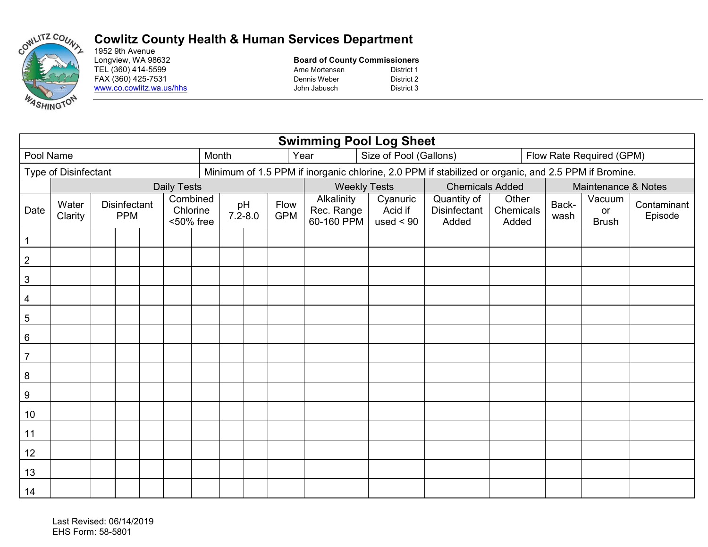

## **Cowlitz County Health & Human Services Department**

1952 9th Avenue<br>Longview, WA 98632 TEL (360) 414-5599 Arne Mortensen

## **Board of County Commissioners**<br>Arne Mortensen<br>District 1 FAX (360) 425-7531 Dennis Weber District 2 www.co.cowlitz.wa.us/hhs John Jabusch District 3

| <b>Swimming Pool Log Sheet</b> |                  |                                                                        |  |  |  |                   |       |                                                                                                     |                                        |                                    |                                      |                             |                          |                              |                        |  |  |
|--------------------------------|------------------|------------------------------------------------------------------------|--|--|--|-------------------|-------|-----------------------------------------------------------------------------------------------------|----------------------------------------|------------------------------------|--------------------------------------|-----------------------------|--------------------------|------------------------------|------------------------|--|--|
| Pool Name                      |                  |                                                                        |  |  |  |                   | Month |                                                                                                     |                                        | Year                               | Size of Pool (Gallons)               |                             | Flow Rate Required (GPM) |                              |                        |  |  |
| Type of Disinfectant           |                  |                                                                        |  |  |  |                   |       | Minimum of 1.5 PPM if inorganic chlorine, 2.0 PPM if stabilized or organic, and 2.5 PPM if Bromine. |                                        |                                    |                                      |                             |                          |                              |                        |  |  |
| <b>Daily Tests</b>             |                  |                                                                        |  |  |  |                   |       |                                                                                                     |                                        | <b>Weekly Tests</b>                |                                      | <b>Chemicals Added</b>      |                          | Maintenance & Notes          |                        |  |  |
| Date                           | Water<br>Clarity | Combined<br><b>Disinfectant</b><br>Chlorine<br><b>PPM</b><br><50% free |  |  |  | pH<br>$7.2 - 8.0$ |       | Flow<br><b>GPM</b>                                                                                  | Alkalinity<br>Rec. Range<br>60-160 PPM | Cyanuric<br>Acid if<br>used $< 90$ | Quantity of<br>Disinfectant<br>Added | Other<br>Chemicals<br>Added | Back-<br>wash            | Vacuum<br>or<br><b>Brush</b> | Contaminant<br>Episode |  |  |
| $\mathbf{1}$                   |                  |                                                                        |  |  |  |                   |       |                                                                                                     |                                        |                                    |                                      |                             |                          |                              |                        |  |  |
| $\overline{2}$                 |                  |                                                                        |  |  |  |                   |       |                                                                                                     |                                        |                                    |                                      |                             |                          |                              |                        |  |  |
| $\sqrt{3}$                     |                  |                                                                        |  |  |  |                   |       |                                                                                                     |                                        |                                    |                                      |                             |                          |                              |                        |  |  |
| 4                              |                  |                                                                        |  |  |  |                   |       |                                                                                                     |                                        |                                    |                                      |                             |                          |                              |                        |  |  |
| $\sqrt{5}$                     |                  |                                                                        |  |  |  |                   |       |                                                                                                     |                                        |                                    |                                      |                             |                          |                              |                        |  |  |
| $6\phantom{1}6$                |                  |                                                                        |  |  |  |                   |       |                                                                                                     |                                        |                                    |                                      |                             |                          |                              |                        |  |  |
| $\overline{7}$                 |                  |                                                                        |  |  |  |                   |       |                                                                                                     |                                        |                                    |                                      |                             |                          |                              |                        |  |  |
| $\,8\,$                        |                  |                                                                        |  |  |  |                   |       |                                                                                                     |                                        |                                    |                                      |                             |                          |                              |                        |  |  |
| $\boldsymbol{9}$               |                  |                                                                        |  |  |  |                   |       |                                                                                                     |                                        |                                    |                                      |                             |                          |                              |                        |  |  |
| 10                             |                  |                                                                        |  |  |  |                   |       |                                                                                                     |                                        |                                    |                                      |                             |                          |                              |                        |  |  |
| 11                             |                  |                                                                        |  |  |  |                   |       |                                                                                                     |                                        |                                    |                                      |                             |                          |                              |                        |  |  |
| 12                             |                  |                                                                        |  |  |  |                   |       |                                                                                                     |                                        |                                    |                                      |                             |                          |                              |                        |  |  |
| 13                             |                  |                                                                        |  |  |  |                   |       |                                                                                                     |                                        |                                    |                                      |                             |                          |                              |                        |  |  |
| 14                             |                  |                                                                        |  |  |  |                   |       |                                                                                                     |                                        |                                    |                                      |                             |                          |                              |                        |  |  |